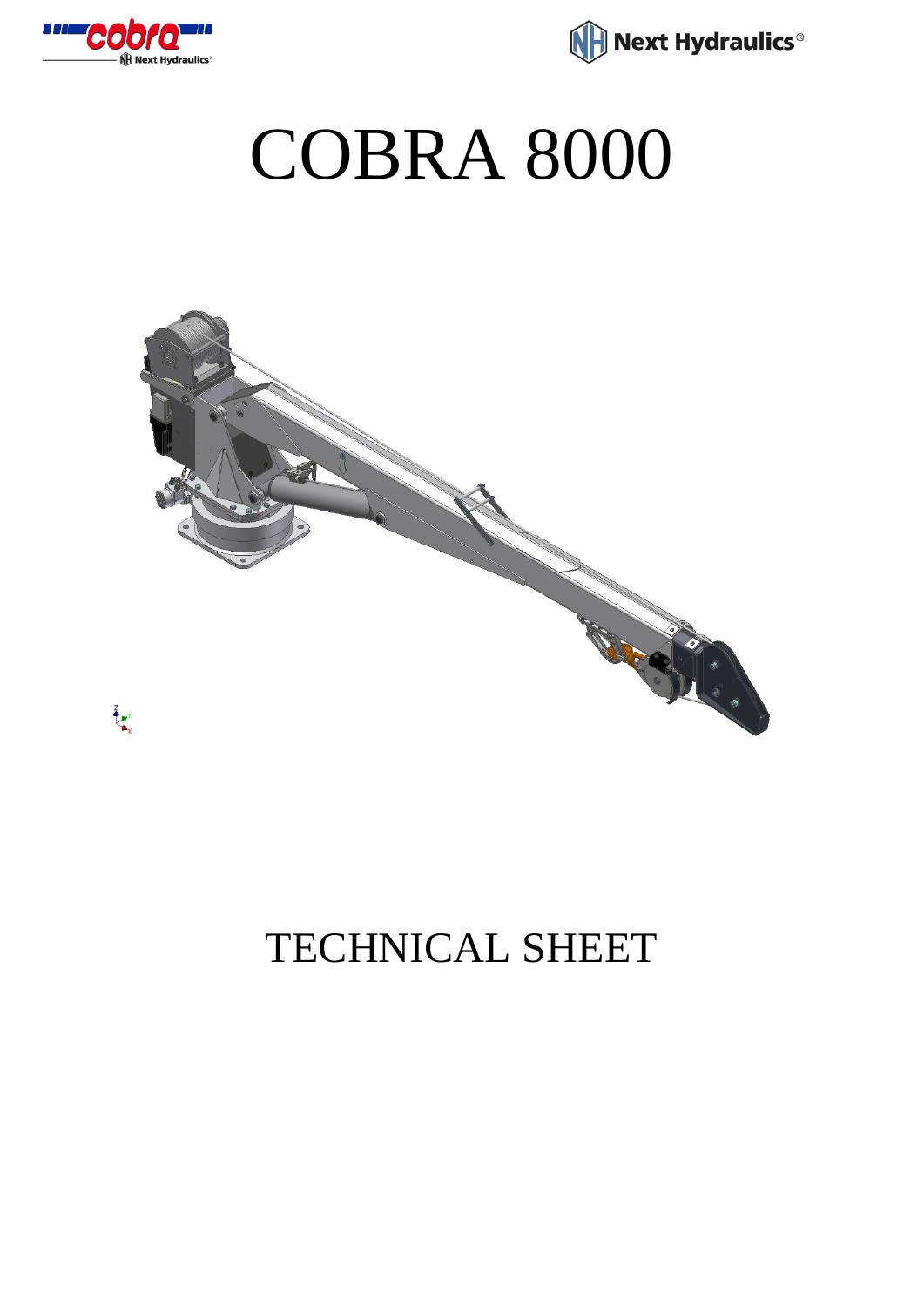



## COBRA 8000



## TECHNICAL SHEET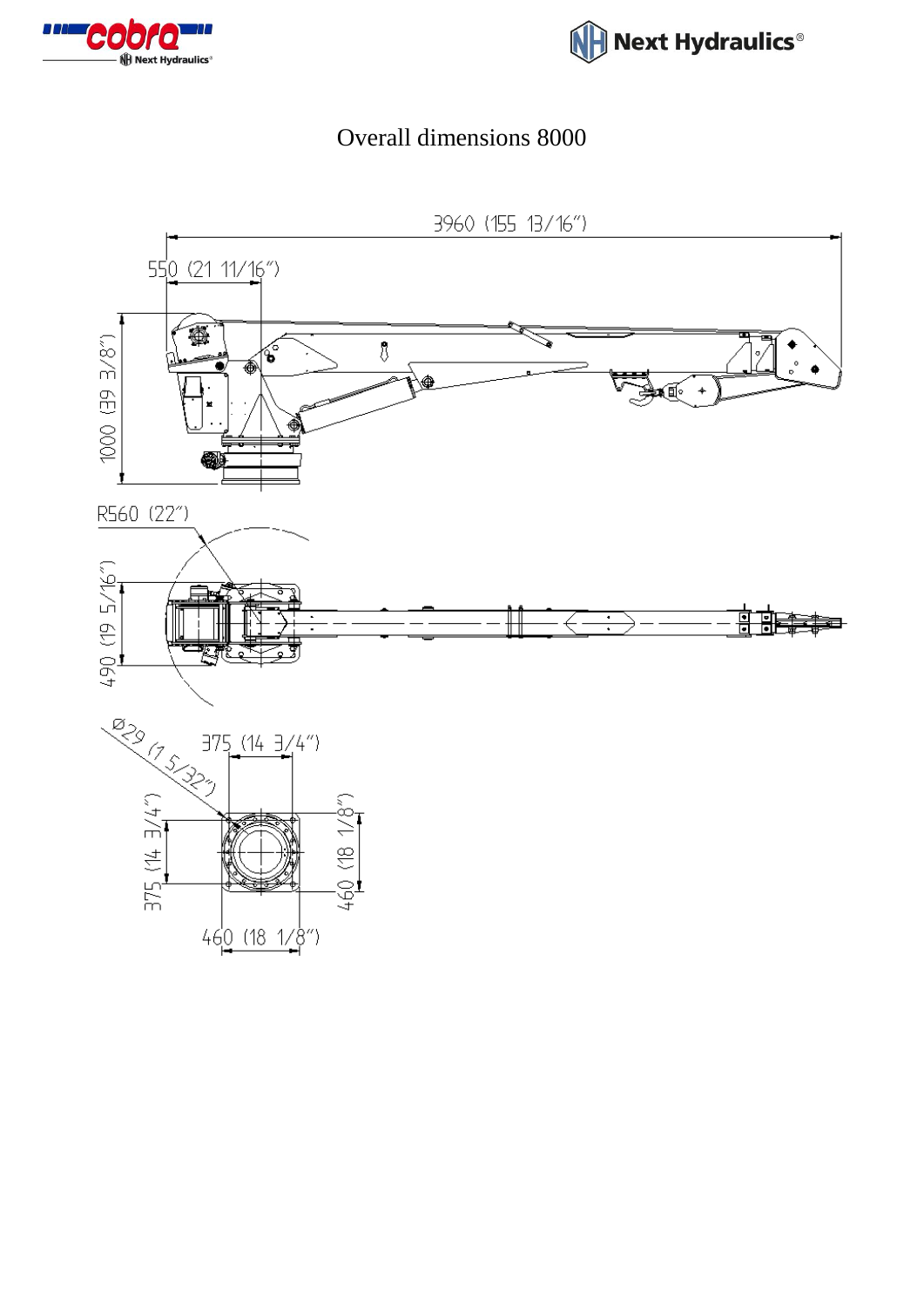



## Overall dimensions 8000

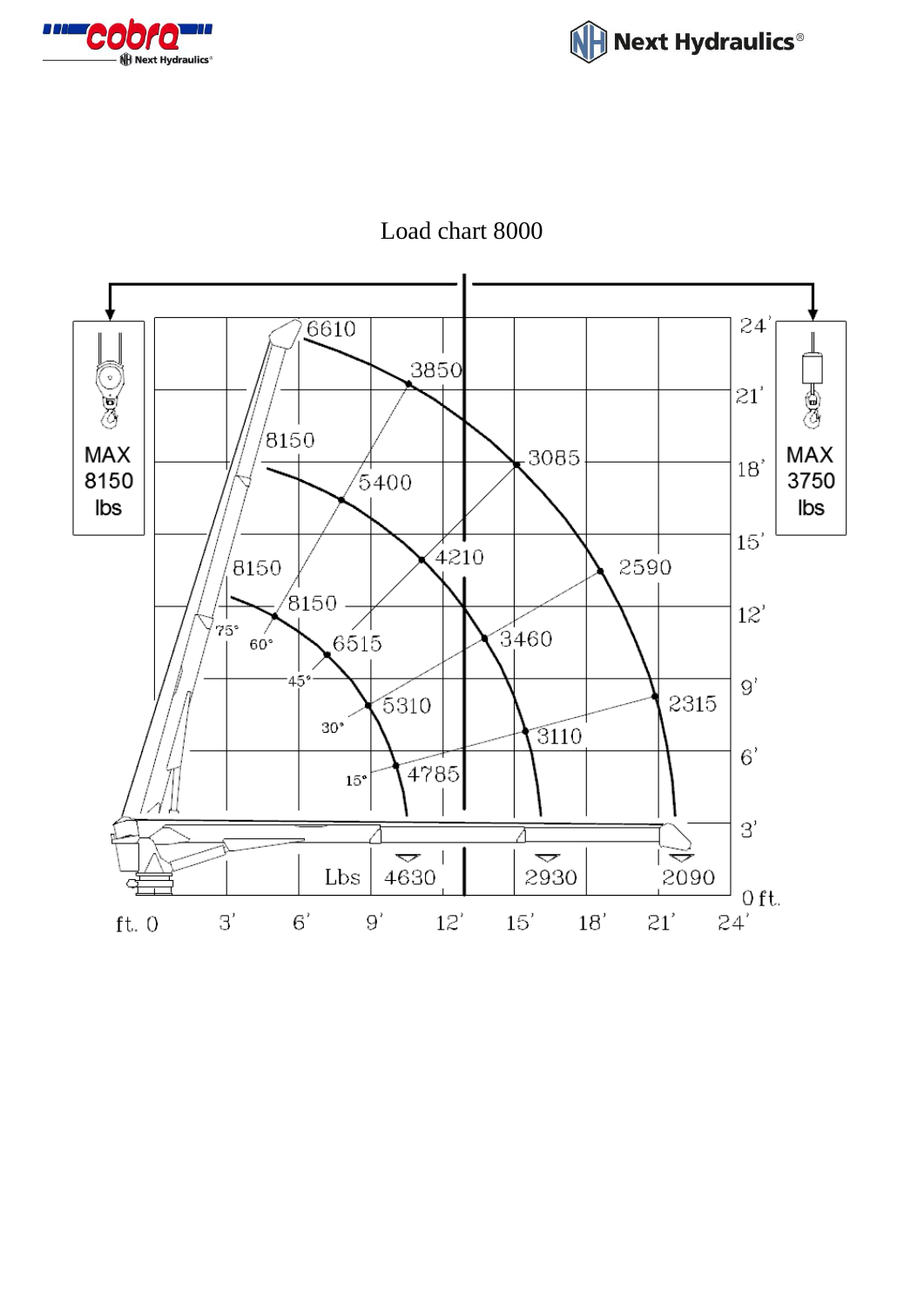





Load chart 8000